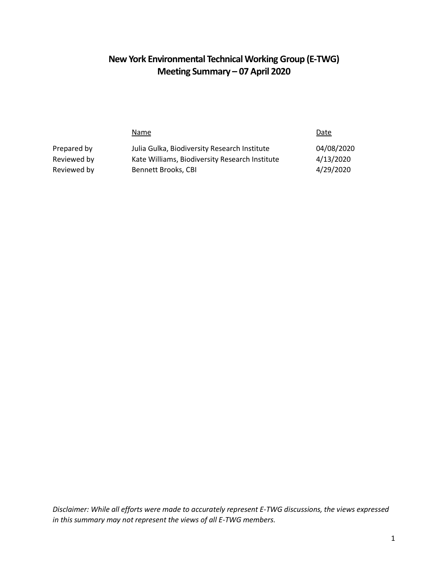## **New York Environmental Technical Working Group (E-TWG) Meeting Summary – 07 April 2020**

|             | Name                                           | Date       |
|-------------|------------------------------------------------|------------|
| Prepared by | Julia Gulka, Biodiversity Research Institute   | 04/08/2020 |
| Reviewed by | Kate Williams, Biodiversity Research Institute | 4/13/2020  |
| Reviewed by | Bennett Brooks, CBI                            | 4/29/2020  |

*Disclaimer: While all efforts were made to accurately represent E-TWG discussions, the views expressed in this summary may not represent the views of all E-TWG members.*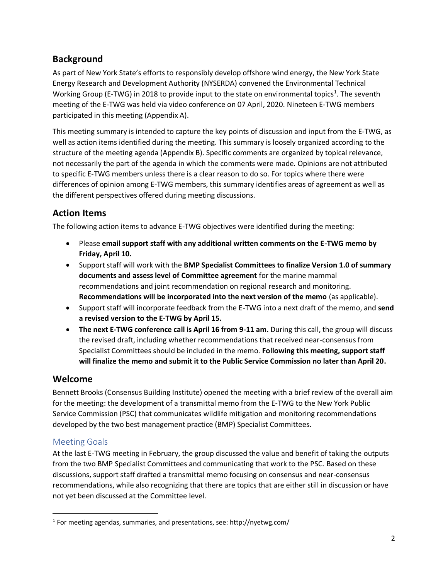## **Background**

As part of New York State's efforts to responsibly develop offshore wind energy, the New York State Energy Research and Development Authority (NYSERDA) convened the Environmental Technical Working Group (E-TWG) in 2018 to provide input to the state on environmental topics<sup>1</sup>. The seventh meeting of the E-TWG was held via video conference on 07 April, 2020. Nineteen E-TWG members participated in this meeting (Appendix A).

This meeting summary is intended to capture the key points of discussion and input from the E-TWG, as well as action items identified during the meeting. This summary is loosely organized according to the structure of the meeting agenda (Appendix B). Specific comments are organized by topical relevance, not necessarily the part of the agenda in which the comments were made. Opinions are not attributed to specific E-TWG members unless there is a clear reason to do so. For topics where there were differences of opinion among E-TWG members, this summary identifies areas of agreement as well as the different perspectives offered during meeting discussions.

## **Action Items**

The following action items to advance E-TWG objectives were identified during the meeting:

- Please **email support staff with any additional written comments on the E-TWG memo by Friday, April 10.**
- Support staff will work with the **BMP Specialist Committees to finalize Version 1.0 of summary documents and assess level of Committee agreement** for the marine mammal recommendations and joint recommendation on regional research and monitoring. **Recommendations will be incorporated into the next version of the memo** (as applicable).
- Support staff will incorporate feedback from the E-TWG into a next draft of the memo, and **send a revised version to the E-TWG by April 15.**
- **The next E-TWG conference call is April 16 from 9-11 am.** During this call, the group will discuss the revised draft, including whether recommendations that received near-consensus from Specialist Committees should be included in the memo. **Following this meeting, support staff will finalize the memo and submit it to the Public Service Commission no later than April 20.**

### **Welcome**

Bennett Brooks (Consensus Building Institute) opened the meeting with a brief review of the overall aim for the meeting: the development of a transmittal memo from the E-TWG to the New York Public Service Commission (PSC) that communicates wildlife mitigation and monitoring recommendations developed by the two best management practice (BMP) Specialist Committees.

### Meeting Goals

At the last E-TWG meeting in February, the group discussed the value and benefit of taking the outputs from the two BMP Specialist Committees and communicating that work to the PSC. Based on these discussions, support staff drafted a transmittal memo focusing on consensus and near-consensus recommendations, while also recognizing that there are topics that are either still in discussion or have not yet been discussed at the Committee level.

 $\overline{a}$ <sup>1</sup> For meeting agendas, summaries, and presentations, see: http://nyetwg.com/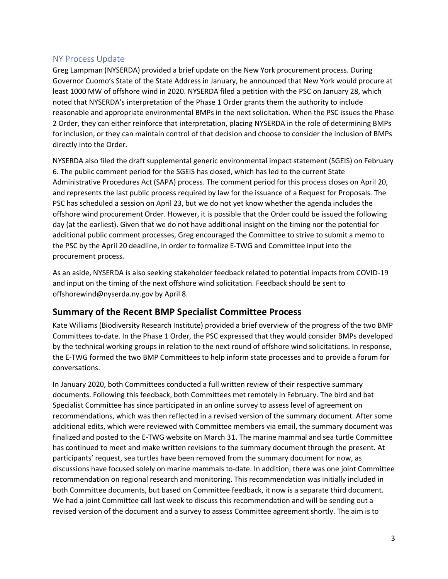### NY Process Update

Greg Lampman (NYSERDA) provided a brief update on the New York procurement process. During Governor Cuomo's State of the State Address in January, he announced that New York would procure at least 1000 MW of offshore wind in 2020. NYSERDA filed a petition with the PSC on January 28, which noted that NYSERDA's interpretation of the Phase 1 Order grants them the authority to include reasonable and appropriate environmental BMPs in the next solicitation. When the PSC issues the Phase 2 Order, they can either reinforce that interpretation, placing NYSERDA in the role of determining BMPs for inclusion, or they can maintain control of that decision and choose to consider the inclusion of BMPs directly into the Order.

NYSERDA also filed the draft supplemental generic environmental impact statement (SGEIS) on February 6. The public comment period for the SGEIS has closed, which has led to the current State Administrative Procedures Act (SAPA) process. The comment period for this process closes on April 20, and represents the last public process required by law for the issuance of a Request for Proposals. The PSC has scheduled a session on April 23, but we do not yet know whether the agenda includes the offshore wind procurement Order. However, it is possible that the Order could be issued the following day (at the earliest). Given that we do not have additional insight on the timing nor the potential for additional public comment processes, Greg encouraged the Committee to strive to submit a memo to the PSC by the April 20 deadline, in order to formalize E-TWG and Committee input into the procurement process.

As an aside, NYSERDA is also seeking stakeholder feedback related to potential impacts from COVID-19 and input on the timing of the next offshore wind solicitation. Feedback should be sent to offshorewind@nyserda.ny.gov by April 8.

### **Summary of the Recent BMP Specialist Committee Process**

Kate Williams (Biodiversity Research Institute) provided a brief overview of the progress of the two BMP Committees to-date. In the Phase 1 Order, the PSC expressed that they would consider BMPs developed by the technical working groups in relation to the next round of offshore wind solicitations. In response, the E-TWG formed the two BMP Committees to help inform state processes and to provide a forum for conversations.

In January 2020, both Committees conducted a full written review of their respective summary documents. Following this feedback, both Committees met remotely in February. The bird and bat Specialist Committee has since participated in an online survey to assess level of agreement on recommendations, which was then reflected in a revised version of the summary document. After some additional edits, which were reviewed with Committee members via email, the summary document was finalized and posted to the E-TWG website on March 31. The marine mammal and sea turtle Committee has continued to meet and make written revisions to the summary document through the present. At participants' request, sea turtles have been removed from the summary document for now, as discussions have focused solely on marine mammals to-date. In addition, there was one joint Committee recommendation on regional research and monitoring. This recommendation was initially included in both Committee documents, but based on Committee feedback, it now is a separate third document. We had a joint Committee call last week to discuss this recommendation and will be sending out a revised version of the document and a survey to assess Committee agreement shortly. The aim is to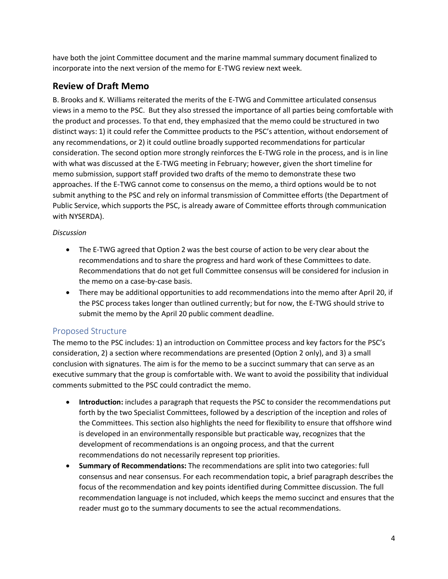have both the joint Committee document and the marine mammal summary document finalized to incorporate into the next version of the memo for E-TWG review next week.

### **Review of Draft Memo**

B. Brooks and K. Williams reiterated the merits of the E-TWG and Committee articulated consensus views in a memo to the PSC. But they also stressed the importance of all parties being comfortable with the product and processes. To that end, they emphasized that the memo could be structured in two distinct ways: 1) it could refer the Committee products to the PSC's attention, without endorsement of any recommendations, or 2) it could outline broadly supported recommendations for particular consideration. The second option more strongly reinforces the E-TWG role in the process, and is in line with what was discussed at the E-TWG meeting in February; however, given the short timeline for memo submission, support staff provided two drafts of the memo to demonstrate these two approaches. If the E-TWG cannot come to consensus on the memo, a third options would be to not submit anything to the PSC and rely on informal transmission of Committee efforts (the Department of Public Service, which supports the PSC, is already aware of Committee efforts through communication with NYSERDA).

#### *Discussion*

- The E-TWG agreed that Option 2 was the best course of action to be very clear about the recommendations and to share the progress and hard work of these Committees to date. Recommendations that do not get full Committee consensus will be considered for inclusion in the memo on a case-by-case basis.
- There may be additional opportunities to add recommendations into the memo after April 20, if the PSC process takes longer than outlined currently; but for now, the E-TWG should strive to submit the memo by the April 20 public comment deadline.

### Proposed Structure

The memo to the PSC includes: 1) an introduction on Committee process and key factors for the PSC's consideration, 2) a section where recommendations are presented (Option 2 only), and 3) a small conclusion with signatures. The aim is for the memo to be a succinct summary that can serve as an executive summary that the group is comfortable with. We want to avoid the possibility that individual comments submitted to the PSC could contradict the memo.

- **Introduction:** includes a paragraph that requests the PSC to consider the recommendations put forth by the two Specialist Committees, followed by a description of the inception and roles of the Committees. This section also highlights the need for flexibility to ensure that offshore wind is developed in an environmentally responsible but practicable way, recognizes that the development of recommendations is an ongoing process, and that the current recommendations do not necessarily represent top priorities.
- **Summary of Recommendations:** The recommendations are split into two categories: full consensus and near consensus. For each recommendation topic, a brief paragraph describes the focus of the recommendation and key points identified during Committee discussion. The full recommendation language is not included, which keeps the memo succinct and ensures that the reader must go to the summary documents to see the actual recommendations.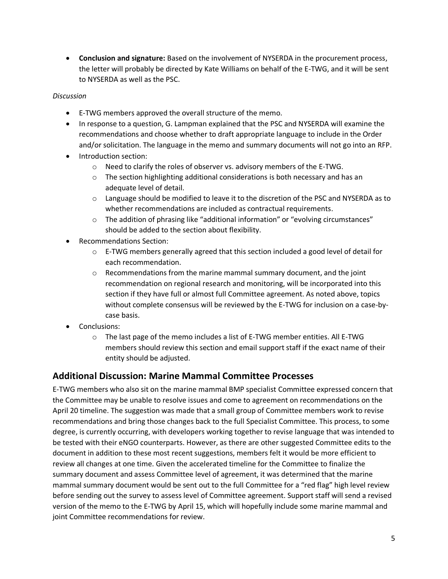• **Conclusion and signature:** Based on the involvement of NYSERDA in the procurement process, the letter will probably be directed by Kate Williams on behalf of the E-TWG, and it will be sent to NYSERDA as well as the PSC.

#### *Discussion*

- E-TWG members approved the overall structure of the memo.
- In response to a question, G. Lampman explained that the PSC and NYSERDA will examine the recommendations and choose whether to draft appropriate language to include in the Order and/or solicitation. The language in the memo and summary documents will not go into an RFP.
- Introduction section:
	- o Need to clarify the roles of observer vs. advisory members of the E-TWG.
	- $\circ$  The section highlighting additional considerations is both necessary and has an adequate level of detail.
	- $\circ$  Language should be modified to leave it to the discretion of the PSC and NYSERDA as to whether recommendations are included as contractual requirements.
	- $\circ$  The addition of phrasing like "additional information" or "evolving circumstances" should be added to the section about flexibility.
- Recommendations Section:
	- $\circ$  E-TWG members generally agreed that this section included a good level of detail for each recommendation.
	- o Recommendations from the marine mammal summary document, and the joint recommendation on regional research and monitoring, will be incorporated into this section if they have full or almost full Committee agreement. As noted above, topics without complete consensus will be reviewed by the E-TWG for inclusion on a case-bycase basis.
- Conclusions:
	- o The last page of the memo includes a list of E-TWG member entities. All E-TWG members should review this section and email support staff if the exact name of their entity should be adjusted.

### **Additional Discussion: Marine Mammal Committee Processes**

E-TWG members who also sit on the marine mammal BMP specialist Committee expressed concern that the Committee may be unable to resolve issues and come to agreement on recommendations on the April 20 timeline. The suggestion was made that a small group of Committee members work to revise recommendations and bring those changes back to the full Specialist Committee. This process, to some degree, is currently occurring, with developers working together to revise language that was intended to be tested with their eNGO counterparts. However, as there are other suggested Committee edits to the document in addition to these most recent suggestions, members felt it would be more efficient to review all changes at one time. Given the accelerated timeline for the Committee to finalize the summary document and assess Committee level of agreement, it was determined that the marine mammal summary document would be sent out to the full Committee for a "red flag" high level review before sending out the survey to assess level of Committee agreement. Support staff will send a revised version of the memo to the E-TWG by April 15, which will hopefully include some marine mammal and joint Committee recommendations for review.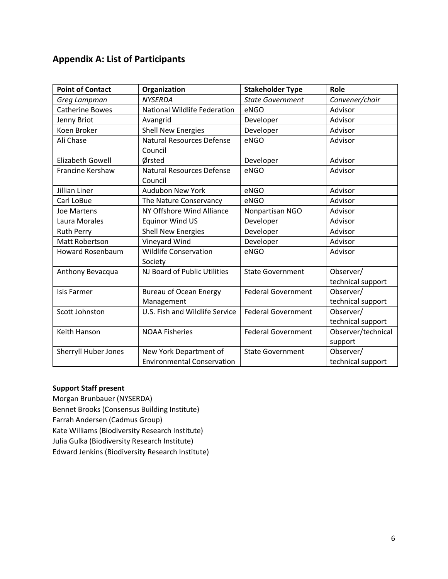## **Appendix A: List of Participants**

| <b>Point of Contact</b> | Organization                        | <b>Stakeholder Type</b>   | Role               |
|-------------------------|-------------------------------------|---------------------------|--------------------|
| Greg Lampman            | <b>NYSERDA</b>                      | <b>State Government</b>   | Convener/chair     |
| <b>Catherine Bowes</b>  | <b>National Wildlife Federation</b> | eNGO                      | Advisor            |
| Jenny Briot             | Avangrid                            | Developer                 | Advisor            |
| Koen Broker             | <b>Shell New Energies</b>           | Developer                 | Advisor            |
| Ali Chase               | <b>Natural Resources Defense</b>    | eNGO                      | Advisor            |
|                         | Council                             |                           |                    |
| <b>Elizabeth Gowell</b> | Ørsted                              | Developer                 | Advisor            |
| Francine Kershaw        | <b>Natural Resources Defense</b>    | eNGO                      | Advisor            |
|                         | Council                             |                           |                    |
| Jillian Liner           | <b>Audubon New York</b>             | eNGO                      | Advisor            |
| Carl LoBue              | The Nature Conservancy              | eNGO                      | Advisor            |
| <b>Joe Martens</b>      | NY Offshore Wind Alliance           | Nonpartisan NGO           | Advisor            |
| Laura Morales           | <b>Equinor Wind US</b>              | Developer                 | Advisor            |
| <b>Ruth Perry</b>       | <b>Shell New Energies</b>           | Developer                 | Advisor            |
| <b>Matt Robertson</b>   | Vineyard Wind                       | Developer                 | Advisor            |
| <b>Howard Rosenbaum</b> | <b>Wildlife Conservation</b>        | eNGO                      | Advisor            |
|                         | Society                             |                           |                    |
| Anthony Bevacqua        | NJ Board of Public Utilities        | <b>State Government</b>   | Observer/          |
|                         |                                     |                           | technical support  |
| <b>Isis Farmer</b>      | <b>Bureau of Ocean Energy</b>       | <b>Federal Government</b> | Observer/          |
|                         | Management                          |                           | technical support  |
| Scott Johnston          | U.S. Fish and Wildlife Service      | <b>Federal Government</b> | Observer/          |
|                         |                                     |                           | technical support  |
| Keith Hanson            | <b>NOAA Fisheries</b>               | <b>Federal Government</b> | Observer/technical |
|                         |                                     |                           | support            |
| Sherryll Huber Jones    | New York Department of              | <b>State Government</b>   | Observer/          |
|                         | <b>Environmental Conservation</b>   |                           | technical support  |

#### **Support Staff present**

Morgan Brunbauer (NYSERDA) Bennet Brooks (Consensus Building Institute) Farrah Andersen (Cadmus Group) Kate Williams (Biodiversity Research Institute) Julia Gulka (Biodiversity Research Institute) Edward Jenkins (Biodiversity Research Institute)